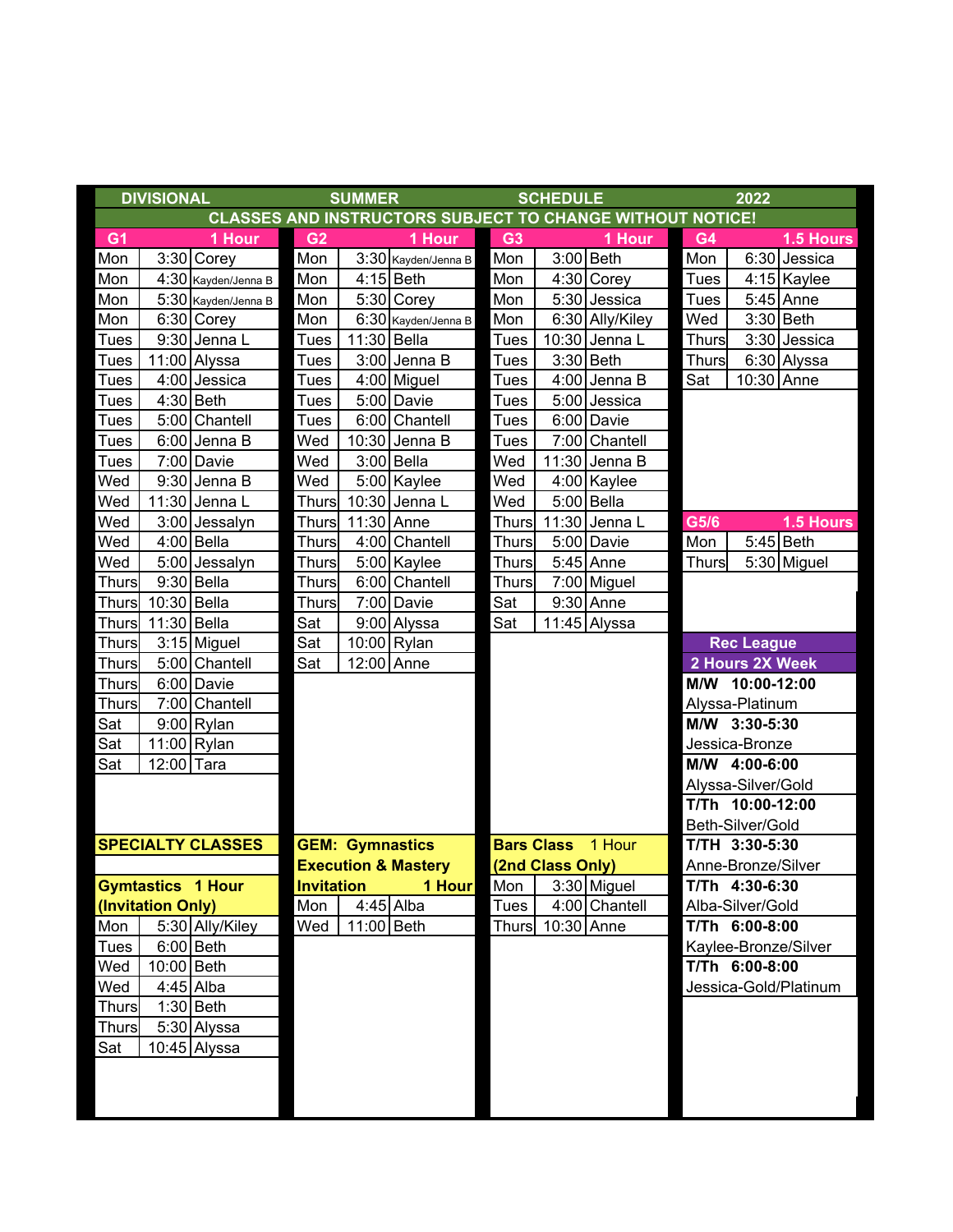|                   | <b>DIVISIONAL</b> |                          | <b>SUMMER</b>                                                    |             |                     |                          | <b>SCHEDULE</b>  |                 | 2022               |                   |                       |  |
|-------------------|-------------------|--------------------------|------------------------------------------------------------------|-------------|---------------------|--------------------------|------------------|-----------------|--------------------|-------------------|-----------------------|--|
|                   |                   |                          | <b>CLASSES AND INSTRUCTORS SUBJECT TO CHANGE WITHOUT NOTICE!</b> |             |                     |                          |                  |                 |                    |                   |                       |  |
| G <sub>1</sub>    |                   | 1 Hour                   | G <sub>2</sub>                                                   |             | 1 Hour              | G <sub>3</sub>           |                  | 1 Hour          | G4                 |                   | 1.5 Hours             |  |
| Mon               |                   | 3:30 Corey               | Mon                                                              |             | 3:30 Kayden/Jenna B | Mon                      |                  | 3:00 Beth       | Mon                |                   | 6:30 Jessica          |  |
| Mon               |                   | 4:30 Kayden/Jenna B      | Mon                                                              |             | $4:15$ Beth         | Mon                      |                  | $4:30$ Corey    | <b>Tues</b>        |                   | 4:15 Kaylee           |  |
| Mon               |                   | 5:30 Kayden/Jenna B      | Mon                                                              |             | $5:30$ Corey        | Mon                      |                  | 5:30 Jessica    | <b>Tues</b>        |                   | 5:45 Anne             |  |
| Mon               |                   | 6:30 Corey               | Mon                                                              |             | 6:30 Kayden/Jenna B | Mon                      |                  | 6:30 Ally/Kiley | Wed                |                   | $3:30$ Beth           |  |
| <b>Tues</b>       |                   | 9:30 Jenna L             | <b>Tues</b>                                                      | 11:30 Bella |                     | <b>Tues</b>              |                  | 10:30 Jenna L   | <b>Thurs</b>       |                   | 3:30 Jessica          |  |
| <b>Tues</b>       |                   | 11:00 Alyssa             | <b>Tues</b>                                                      |             | 3:00 Jenna B        | <b>Tues</b>              |                  | 3:30 Beth       | <b>Thurs</b>       |                   | 6:30 Alyssa           |  |
| <b>Tues</b>       |                   | 4:00 Jessica             | <b>Tues</b>                                                      |             | 4:00 Miguel         | <b>Tues</b>              |                  | 4:00 Jenna B    | Sat                | 10:30 Anne        |                       |  |
| <b>Tues</b>       |                   | $4:30$ Beth              | <b>Tues</b>                                                      |             | 5:00 Davie          | <b>Tues</b>              |                  | 5:00 Jessica    |                    |                   |                       |  |
| <b>Tues</b>       |                   | 5:00 Chantell            | <b>Tues</b>                                                      |             | 6:00 Chantell       | <b>Tues</b>              |                  | 6:00 Davie      |                    |                   |                       |  |
| <b>Tues</b>       |                   | $6:00$ Jenna B           | Wed                                                              |             | 10:30 Jenna B       | <b>Tues</b>              |                  | 7:00 Chantell   |                    |                   |                       |  |
| <b>Tues</b>       |                   | 7:00 Davie               | Wed                                                              |             | 3:00 Bella          | Wed                      |                  | 11:30 Jenna B   |                    |                   |                       |  |
| Wed               |                   | 9:30 Jenna B             | Wed                                                              |             | 5:00 Kaylee         | Wed                      |                  | 4:00 Kaylee     |                    |                   |                       |  |
| Wed               |                   | 11:30 Jenna L            | <b>Thurs</b>                                                     |             | 10:30 Jenna L       | Wed                      |                  | $5:00$ Bella    |                    |                   |                       |  |
| Wed               |                   | 3:00 Jessalyn            | <b>Thurs</b>                                                     | 11:30 Anne  |                     | <b>Thurs</b>             |                  | 11:30 Jenna L   | G5/6               |                   | 1.5 Hours             |  |
| Wed               |                   | 4:00 Bella               | <b>Thurs</b>                                                     |             | 4:00 Chantell       | <b>Thurs</b>             |                  | 5:00 Davie      | Mon                |                   | $5:45$ Beth           |  |
| Wed               |                   | 5:00 Jessalyn            | <b>Thurs</b>                                                     |             | 5:00 Kaylee         | <b>Thurs</b>             |                  | 5:45 Anne       | <b>Thurs</b>       |                   | 5:30 Miguel           |  |
| <b>Thurs</b>      |                   | $9:30$ Bella             | <b>Thurs</b>                                                     |             | 6:00 Chantell       | <b>Thurs</b>             |                  | 7:00 Miguel     |                    |                   |                       |  |
| <b>Thurs</b>      | 10:30 Bella       |                          | <b>Thurs</b>                                                     |             | 7:00 Davie          | Sat                      |                  | 9:30 Anne       |                    |                   |                       |  |
| <b>Thurs</b>      | 11:30 Bella       |                          | Sat                                                              |             | 9:00 Alyssa         | Sat                      |                  | 11:45 Alyssa    |                    |                   |                       |  |
| <b>Thurs</b>      |                   | 3:15 Miguel              | Sat                                                              |             | 10:00 Rylan         |                          |                  |                 |                    | <b>Rec League</b> |                       |  |
| <b>Thurs</b>      |                   | 5:00 Chantell            | Sat                                                              | 12:00 Anne  |                     |                          |                  |                 |                    | 2 Hours 2X Week   |                       |  |
| <b>Thurs</b>      |                   | 6:00 Davie               |                                                                  |             |                     |                          |                  |                 |                    | M/W 10:00-12:00   |                       |  |
| <b>Thurs</b>      |                   | 7:00 Chantell            |                                                                  |             |                     |                          |                  |                 |                    | Alyssa-Platinum   |                       |  |
| Sat               |                   | $9:00$ Rylan             |                                                                  |             |                     |                          |                  |                 |                    | M/W 3:30-5:30     |                       |  |
| Sat               |                   | 11:00 Rylan              |                                                                  |             |                     |                          |                  |                 |                    | Jessica-Bronze    |                       |  |
| Sat               | 12:00 Tara        |                          |                                                                  |             |                     |                          |                  |                 | M/W 4:00-6:00      |                   |                       |  |
|                   |                   |                          |                                                                  |             |                     |                          |                  |                 | Alyssa-Silver/Gold |                   |                       |  |
|                   |                   |                          |                                                                  |             |                     |                          |                  |                 |                    | T/Th 10:00-12:00  |                       |  |
|                   |                   |                          |                                                                  |             |                     |                          |                  |                 | Beth-Silver/Gold   |                   |                       |  |
|                   |                   | <b>SPECIALTY CLASSES</b> | <b>GEM: Gymnastics</b>                                           |             |                     | <b>Bars Class</b> 1 Hour |                  |                 | T/TH 3:30-5:30     |                   |                       |  |
|                   |                   |                          | <b>Execution &amp; Mastery</b>                                   |             |                     | (2nd Class Only)         |                  |                 | Anne-Bronze/Silver |                   |                       |  |
| Gymtastics 1 Hour |                   |                          | <b>Invitation</b>                                                |             | 1 Hour              |                          |                  | Mon 3:30 Miguel |                    | $T/Th$ 4:30-6:30  |                       |  |
|                   | (Invitation Only) |                          | Mon                                                              |             | $4:45$ Alba         | Tues                     |                  | 4:00 Chantell   |                    | Alba-Silver/Gold  |                       |  |
| Mon               |                   | 5:30 Ally/Kiley          | Wed                                                              | 11:00 Beth  |                     |                          | Thurs 10:30 Anne |                 |                    | T/Th 6:00-8:00    |                       |  |
| Tues              |                   | $6:00$ Beth              |                                                                  |             |                     |                          |                  |                 |                    |                   | Kaylee-Bronze/Silver  |  |
| Wed               | 10:00 Beth        |                          |                                                                  |             |                     |                          |                  |                 |                    | T/Th 6:00-8:00    |                       |  |
| Wed               |                   | $4:45$ Alba              |                                                                  |             |                     |                          |                  |                 |                    |                   | Jessica-Gold/Platinum |  |
| <b>Thurs</b>      |                   | $1:30$ Beth              |                                                                  |             |                     |                          |                  |                 |                    |                   |                       |  |
| <b>Thurs</b>      |                   | 5:30 Alyssa              |                                                                  |             |                     |                          |                  |                 |                    |                   |                       |  |
| Sat               |                   | 10:45 Alyssa             |                                                                  |             |                     |                          |                  |                 |                    |                   |                       |  |
|                   |                   |                          |                                                                  |             |                     |                          |                  |                 |                    |                   |                       |  |
|                   |                   |                          |                                                                  |             |                     |                          |                  |                 |                    |                   |                       |  |
|                   |                   |                          |                                                                  |             |                     |                          |                  |                 |                    |                   |                       |  |